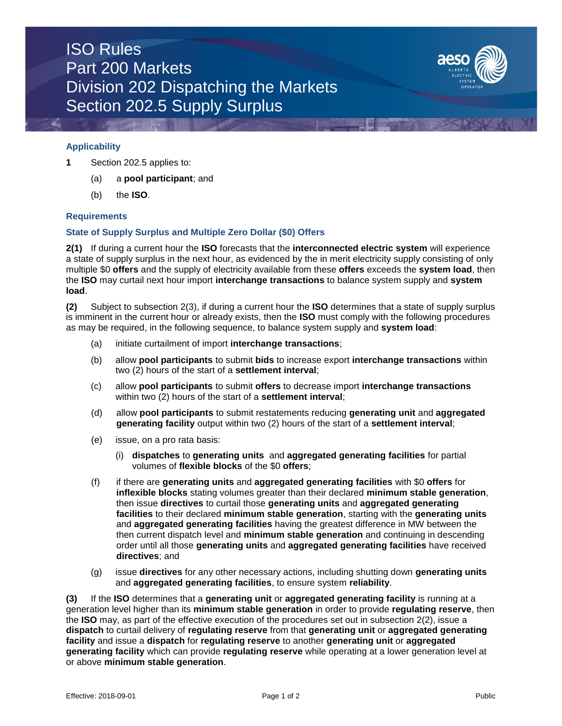## ISO Rules Part 200 Markets Division 202 Dispatching the Markets Section 202.5 Supply Surplus



### **Applicability**

- **1** Section 202.5 applies to:
	- (a) a **pool participant**; and
	- (b) the **ISO**.

#### **Requirements**

#### **State of Supply Surplus and Multiple Zero Dollar (\$0) Offers**

**2(1)** If during a current hour the **ISO** forecasts that the **interconnected electric system** will experience a state of supply surplus in the next hour, as evidenced by the in merit electricity supply consisting of only multiple \$0 **offers** and the supply of electricity available from these **offers** exceeds the **system load**, then the **ISO** may curtail next hour import **interchange transactions** to balance system supply and **system load**.

**(2)** Subject to subsection 2(3), if during a current hour the **ISO** determines that a state of supply surplus is imminent in the current hour or already exists, then the **ISO** must comply with the following procedures as may be required, in the following sequence, to balance system supply and **system load**:

- (a) initiate curtailment of import **interchange transactions**;
- (b) allow **pool participants** to submit **bids** to increase export **interchange transactions** within two (2) hours of the start of a **settlement interval**;
- (c) allow **pool participants** to submit **offers** to decrease import **interchange transactions**  within two (2) hours of the start of a **settlement interval**;
- (d) allow **pool participants** to submit restatements reducing **generating unit** and **aggregated generating facility** output within two (2) hours of the start of a **settlement interval**;
- (e) issue, on a pro rata basis:
	- (i) **dispatches** to **generating units** and **aggregated generating facilities** for partial volumes of **flexible blocks** of the \$0 **offers**;
- (f) if there are **generating units** and **aggregated generating facilities** with \$0 **offers** for **inflexible blocks** stating volumes greater than their declared **minimum stable generation**, then issue **directives** to curtail those **generating units** and **aggregated generating facilities** to their declared **minimum stable generation**, starting with the **generating units** and **aggregated generating facilities** having the greatest difference in MW between the then current dispatch level and **minimum stable generation** and continuing in descending order until all those **generating units** and **aggregated generating facilities** have received **directives**; and
- (g) issue **directives** for any other necessary actions, including shutting down **generating units** and **aggregated generating facilities**, to ensure system **reliability**.

**(3)** If the **ISO** determines that a **generating unit** or **aggregated generating facility** is running at a generation level higher than its **minimum stable generation** in order to provide **regulating reserve**, then the **ISO** may, as part of the effective execution of the procedures set out in subsection 2(2), issue a **dispatch** to curtail delivery of **regulating reserve** from that **generating unit** or **aggregated generating facility** and issue a **dispatch** for **regulating reserve** to another **generating unit** or **aggregated generating facility** which can provide **regulating reserve** while operating at a lower generation level at or above **minimum stable generation**.